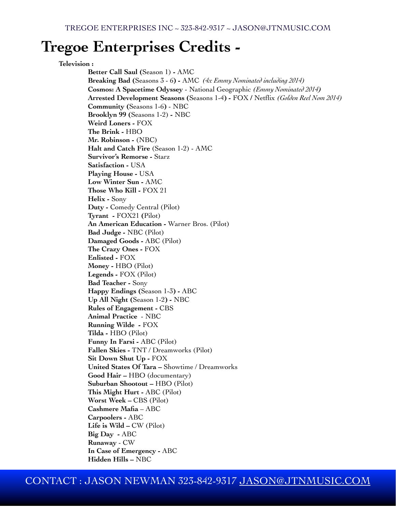# **Tregoe Enterprises Credits -**

### **Television :**

**Better Call Saul (**Season 1) **-** AMC **Breaking Bad (**Seasons 3 - 6**) -** AMC *(4x Emmy Nominated including 2014)* **Cosmos: A Spacetime Odyssey** - National Geographic *(Emmy Nominated 2014)* **Arrested Development Seasons (**Seasons 1-4**) -** FOX **/** Netflix *(Golden Reel Nom 2014)* **Community (**Seasons 1-6**)** - NBC **Brooklyn 99 (**Seasons 1-2) **-** NBC **Weird Loners -** FOX **The Brink -** HBO **Mr. Robinson -** (NBC) **Halt and Catch Fire** (Season 1-2) - AMC **Survivor's Remorse -** Starz **Satisfaction -** USA **Playing House -** USA **Low Winter Sun -** AMC **Those Who Kill -** FOX 21 **Helix -** Sony **Duty -** Comedy Central (Pilot) **Tyrant -** FOX21 **(**Pilot) **An American Education -** Warner Bros. (Pilot) **Bad Judge -** NBC (Pilot) **Damaged Goods -** ABC (Pilot) **The Crazy Ones -** FOX **Enlisted -** FOX **Money -** HBO (Pilot) **Legends -** FOX (Pilot) **Bad Teacher -** Sony **Happy Endings (**Season 1-3**) -** ABC **Up All Night (**Season 1-2**) -** NBC **Rules of Engagement -** CBS **Animal Practice** - NBC **Running Wilde -** FOX **Tilda -** HBO (Pilot) **Funny In Farsi -** ABC (Pilot) **Fallen Skies -** TNT / Dreamworks (Pilot) **Sit Down Shut Up -** FOX **United States Of Tara –** Showtime / Dreamworks **Good Hair –** HBO (documentary) **Suburban Shootout –** HBO (Pilot) **This Might Hurt -** ABC (Pilot) **Worst Week –** CBS (Pilot) **Cashmere Mafia** – ABC **Carpoolers -** ABC Life is Wild – CW (Pilot) **Big Day -** ABC **Runaway** - CW **In Case of Emergency -** ABC **Hidden Hills –** NBC